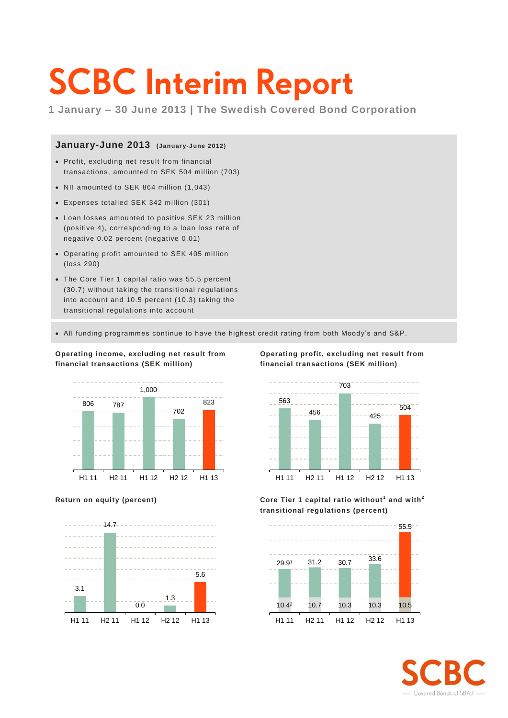# **SCBC Interim Report**

**1 January – 30 June 2013 | The Swedish Covered Bond Corporation**

### January-June 2013 (January-June 2012)

- Profit, excluding net result from financial transactions, amounted to SEK 504 million (703)
- NII amounted to SEK 864 million (1,043)
- Expenses totalled SEK 342 million (301)
- Loan losses amounted to positive SEK 23 million (positive 4), corresponding to a loan loss rate of negative 0.02 percent (negative 0.01)
- Operating profit amounted to SEK 405 million (loss 290)
- The Core Tier 1 capital ratio was 55.5 percent (30.7) without taking the transitional regulations into account and 10.5 percent (10.3) taking the transitional regulations into account

**Operating income, excluding net result from**

**financial transactions (SEK million)**

All funding programmes continue to have the highest credit rating from both Moody's and S&P.





**Operating profit, excluding net result from financial transactions (SEK million)**



**Return on equity (percent) Core Tier 1 capital ratio without <sup>1</sup> and with<sup>2</sup> transitional regulations (percent)**



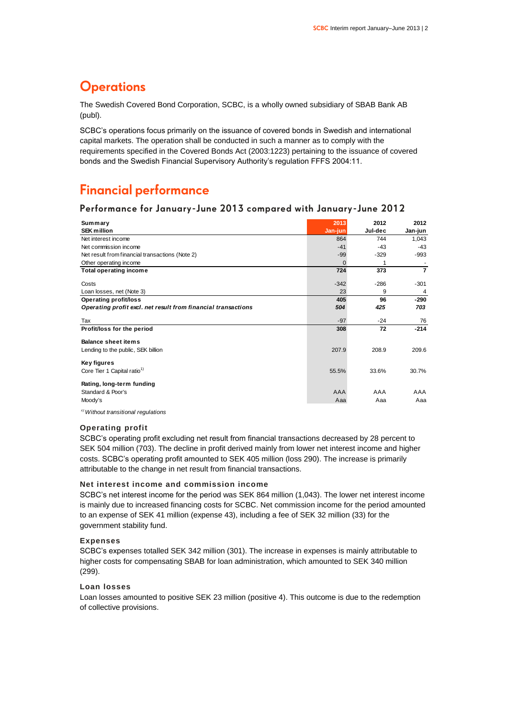### **Operations**

The Swedish Covered Bond Corporation, SCBC, is a wholly owned subsidiary of SBAB Bank AB (publ).

SCBC's operations focus primarily on the issuance of covered bonds in Swedish and international capital markets. The operation shall be conducted in such a manner as to comply with the requirements specified in the Covered Bonds Act (2003:1223) pertaining to the issuance of covered bonds and the Swedish Financial Supervisory Authority's regulation FFFS 2004:11.

### **Financial performance**

### **Performance for January-June 2013 compared with January-June 2012**

| Summary                                                       | 2013     | 2012    | 2012           |
|---------------------------------------------------------------|----------|---------|----------------|
| <b>SEK million</b>                                            | Jan-jun  | Jul-dec | Jan-jun        |
| Net interest income                                           | 864      | 744     | 1,043          |
| Net commission income                                         | $-41$    | $-43$   | $-43$          |
| Net result from financial transactions (Note 2)               | $-99$    | $-329$  | $-993$         |
| Other operating income                                        | $\Omega$ | 1       |                |
| <b>Total operating income</b>                                 | 724      | 373     | $\overline{7}$ |
| Costs                                                         | $-342$   | $-286$  | $-301$         |
| Loan losses, net (Note 3)                                     | 23       | 9       | 4              |
| <b>Operating profit/loss</b>                                  | 405      | 96      | -290           |
| Operating profit excl. net result from financial transactions | 504      | 425     | 703            |
| Tax                                                           | $-97$    | $-24$   | 76             |
| Profit/loss for the period                                    | 308      | 72      | $-214$         |
| <b>Balance sheet items</b>                                    |          |         |                |
| Lending to the public, SEK billion                            | 207.9    | 208.9   | 209.6          |
| Key figures                                                   |          |         |                |
| Core Tier 1 Capital ratio <sup>1)</sup>                       | 55.5%    | 33.6%   | 30.7%          |
| Rating, long-term funding                                     |          |         |                |
| Standard & Poor's                                             | AAA      | AAA     | AAA            |
| Moody's                                                       | Aaa      | Aaa     | Aaa            |

*1)Without transitional regulations*

### **Operating profit**

SCBC's operating profit excluding net result from financial transactions decreased by 28 percent to SEK 504 million (703). The decline in profit derived mainly from lower net interest income and higher costs. SCBC's operating profit amounted to SEK 405 million (loss 290). The increase is primarily attributable to the change in net result from financial transactions.

### **Net interest income and commission income**

SCBC's net interest income for the period was SEK 864 million (1,043). The lower net interest income is mainly due to increased financing costs for SCBC. Net commission income for the period amounted to an expense of SEK 41 million (expense 43), including a fee of SEK 32 million (33) for the government stability fund.

#### **Expenses**

SCBC's expenses totalled SEK 342 million (301). The increase in expenses is mainly attributable to higher costs for compensating SBAB for loan administration, which amounted to SEK 340 million (299).

#### **Loan losses**

Loan losses amounted to positive SEK 23 million (positive 4). This outcome is due to the redemption of collective provisions.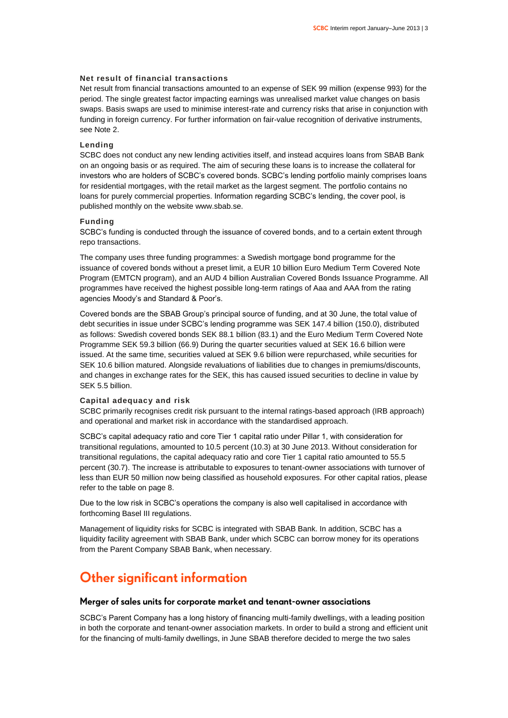#### **Net result of financial transactions**

Net result from financial transactions amounted to an expense of SEK 99 million (expense 993) for the period. The single greatest factor impacting earnings was unrealised market value changes on basis swaps. Basis swaps are used to minimise interest-rate and currency risks that arise in conjunction with funding in foreign currency. For further information on fair-value recognition of derivative instruments, see Note 2.

### **Lending**

SCBC does not conduct any new lending activities itself, and instead acquires loans from SBAB Bank on an ongoing basis or as required. The aim of securing these loans is to increase the collateral for investors who are holders of SCBC's covered bonds. SCBC's lending portfolio mainly comprises loans for residential mortgages, with the retail market as the largest segment. The portfolio contains no loans for purely commercial properties. Information regarding SCBC's lending, the cover pool, is published monthly on the website www.sbab.se.

#### **Funding**

SCBC's funding is conducted through the issuance of covered bonds, and to a certain extent through repo transactions.

The company uses three funding programmes: a Swedish mortgage bond programme for the issuance of covered bonds without a preset limit, a EUR 10 billion Euro Medium Term Covered Note Program (EMTCN program), and an AUD 4 billion Australian Covered Bonds Issuance Programme. All programmes have received the highest possible long-term ratings of Aaa and AAA from the rating agencies Moody's and Standard & Poor's.

Covered bonds are the SBAB Group's principal source of funding, and at 30 June, the total value of debt securities in issue under SCBC's lending programme was SEK 147.4 billion (150.0), distributed as follows: Swedish covered bonds SEK 88.1 billion (83.1) and the Euro Medium Term Covered Note Programme SEK 59.3 billion (66.9) During the quarter securities valued at SEK 16.6 billion were issued. At the same time, securities valued at SEK 9.6 billion were repurchased, while securities for SEK 10.6 billion matured. Alongside revaluations of liabilities due to changes in premiums/discounts, and changes in exchange rates for the SEK, this has caused issued securities to decline in value by SEK 5.5 billion.

#### **Capital adequacy and risk**

SCBC primarily recognises credit risk pursuant to the internal ratings-based approach (IRB approach) and operational and market risk in accordance with the standardised approach.

SCBC's capital adequacy ratio and core Tier 1 capital ratio under Pillar 1, with consideration for transitional regulations, amounted to 10.5 percent (10.3) at 30 June 2013. Without consideration for transitional regulations, the capital adequacy ratio and core Tier 1 capital ratio amounted to 55.5 percent (30.7). The increase is attributable to exposures to tenant-owner associations with turnover of less than EUR 50 million now being classified as household exposures. For other capital ratios, please refer to the table on page 8.

Due to the low risk in SCBC's operations the company is also well capitalised in accordance with forthcoming Basel III regulations.

Management of liquidity risks for SCBC is integrated with SBAB Bank. In addition, SCBC has a liquidity facility agreement with SBAB Bank, under which SCBC can borrow money for its operations from the Parent Company SBAB Bank, when necessary.

### **Other significant information**

### **Merger of sales units for corporate market and tenant-owner associations**

SCBC's Parent Company has a long history of financing multi-family dwellings, with a leading position in both the corporate and tenant-owner association markets. In order to build a strong and efficient unit for the financing of multi-family dwellings, in June SBAB therefore decided to merge the two sales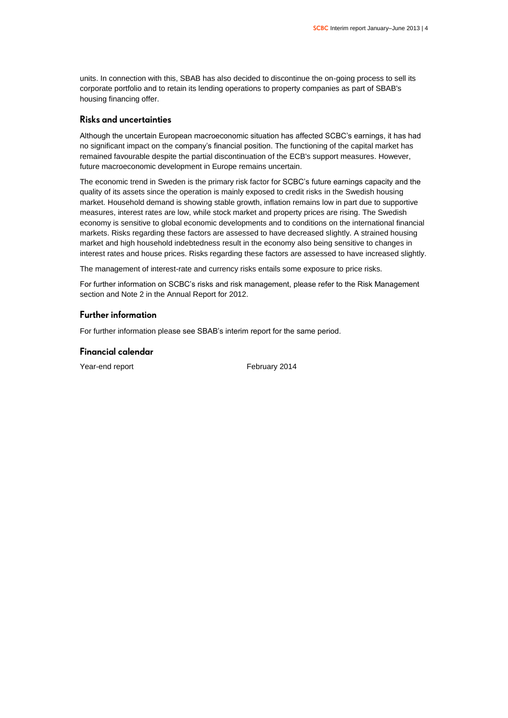units. In connection with this, SBAB has also decided to discontinue the on-going process to sell its corporate portfolio and to retain its lending operations to property companies as part of SBAB's housing financing offer.

### **Risks and uncertainties**

Although the uncertain European macroeconomic situation has affected SCBC's earnings, it has had no significant impact on the company's financial position. The functioning of the capital market has remained favourable despite the partial discontinuation of the ECB's support measures. However, future macroeconomic development in Europe remains uncertain.

The economic trend in Sweden is the primary risk factor for SCBC's future earnings capacity and the quality of its assets since the operation is mainly exposed to credit risks in the Swedish housing market. Household demand is showing stable growth, inflation remains low in part due to supportive measures, interest rates are low, while stock market and property prices are rising. The Swedish economy is sensitive to global economic developments and to conditions on the international financial markets. Risks regarding these factors are assessed to have decreased slightly. A strained housing market and high household indebtedness result in the economy also being sensitive to changes in interest rates and house prices. Risks regarding these factors are assessed to have increased slightly.

The management of interest-rate and currency risks entails some exposure to price risks.

For further information on SCBC's risks and risk management, please refer to the Risk Management section and Note 2 in the Annual Report for 2012.

### **Further information**

For further information please see SBAB's interim report for the same period.

### **Financial calendar**

Year-end report February 2014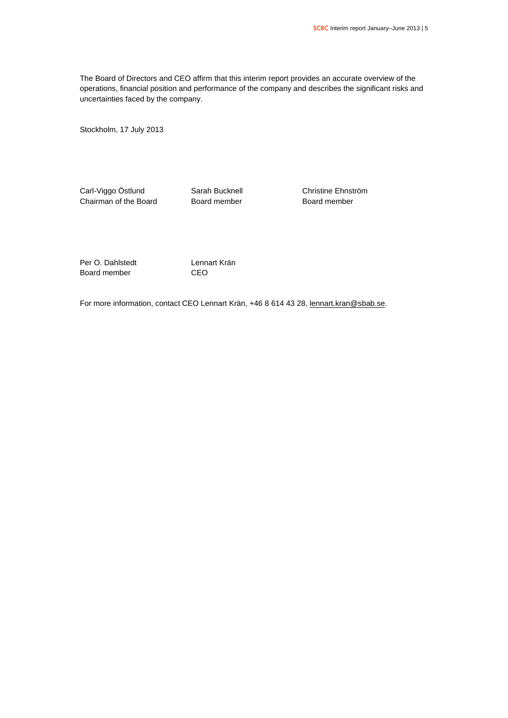The Board of Directors and CEO affirm that this interim report provides an accurate overview of the operations, financial position and performance of the company and describes the significant risks and uncertainties faced by the company.

Stockholm, 17 July 2013

Carl-Viggo Östlund Sarah Bucknell Christine Ehnström Chairman of the Board **Board Board member** Board member

Per O. Dahlstedt Lennart Krän Board member CEO

For more information, contact CEO Lennart Krän, +46 8 614 43 28, [lennart.kran@sbab.se.](mailto:lennart.kran@sbab.se)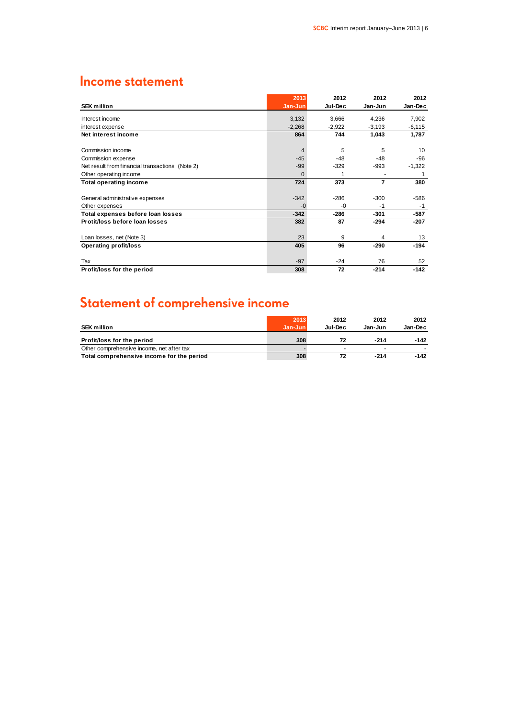### **Income statement**

|                                                 | 2013     | 2012     | 2012     | 2012     |
|-------------------------------------------------|----------|----------|----------|----------|
| <b>SEK million</b>                              | Jan-Jun  | Jul-Dec  | Jan-Jun  | Jan-Dec  |
| Interest income                                 | 3,132    | 3,666    | 4,236    | 7,902    |
| interest expense                                | $-2,268$ | $-2,922$ | $-3,193$ | $-6,115$ |
| Net interest income                             | 864      | 744      | 1,043    | 1,787    |
| Commission income                               | 4        | 5        | 5        | 10       |
| Commission expense                              | $-45$    | $-48$    | $-48$    | $-96$    |
| Net result from financial transactions (Note 2) | $-99$    | $-329$   | $-993$   | $-1,322$ |
| Other operating income                          | $\Omega$ | 1        |          | 1        |
| <b>Total operating income</b>                   | 724      | 373      | 7        | 380      |
| General administrative expenses                 | $-342$   | $-286$   | $-300$   | $-586$   |
| Other expenses                                  | $-0$     | -0       | $-1$     | $-1$     |
| Total expenses before loan losses               | $-342$   | $-286$   | -301     | $-587$   |
| Protit/loss before loan losses                  | 382      | 87       | $-294$   | $-207$   |
| Loan losses, net (Note 3)                       | 23       | 9        | 4        | 13       |
| <b>Operating profit/loss</b>                    | 405      | 96       | $-290$   | $-194$   |
| Tax                                             | $-97$    | $-24$    | 76       | 52       |
| Profit/loss for the period                      | 308      | 72       | $-214$   | $-142$   |

### **Statement of comprehensive income**

|                                           | 2013    | 2012    | 2012    | 2012    |
|-------------------------------------------|---------|---------|---------|---------|
| <b>SEK million</b>                        | Jan-Jun | Jul-Dec | Jan-Jun | Jan-Dec |
| Profit/loss for the period                | 308     | 72      | $-214$  | -142    |
| Other comprehensive income, net after tax |         |         |         |         |
| Total comprehensive income for the period | 308     | 72      | $-214$  | -142    |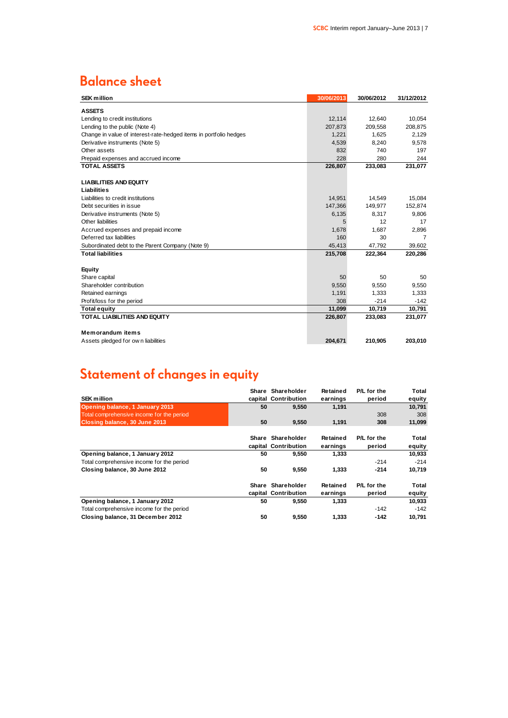### **Balance sheet**

| <b>SEK million</b>                                                | 30/06/2013 | 30/06/2012 | 31/12/2012     |
|-------------------------------------------------------------------|------------|------------|----------------|
| <b>ASSETS</b>                                                     |            |            |                |
| Lending to credit institutions                                    | 12,114     | 12,640     | 10,054         |
| Lending to the public (Note 4)                                    | 207,873    | 209,558    | 208,875        |
| Change in value of interest-rate-hedged items in portfolio hedges | 1,221      | 1,625      | 2,129          |
| Derivative instruments (Note 5)                                   | 4,539      | 8,240      | 9,578          |
| Other assets                                                      | 832        | 740        | 197            |
| Prepaid expenses and accrued income                               | 228        | 280        | 244            |
| <b>TOTAL ASSETS</b>                                               | 226,807    | 233,083    | 231,077        |
|                                                                   |            |            |                |
| <b>LIABILITIES AND EQUITY</b>                                     |            |            |                |
| Liabilities                                                       |            |            |                |
| Liabilities to credit institutions                                | 14,951     | 14,549     | 15,084         |
| Debt securities in issue                                          | 147,366    | 149,977    | 152,874        |
| Derivative instruments (Note 5)                                   | 6,135      | 8.317      | 9,806          |
| Other liabilities                                                 | 5          | 12         | 17             |
| Accrued expenses and prepaid income                               | 1,678      | 1,687      | 2,896          |
| Deferred tax liabilities                                          | 160        | 30         | $\overline{7}$ |
| Subordinated debt to the Parent Company (Note 9)                  | 45,413     | 47,792     | 39,602         |
| <b>Total liabilities</b>                                          | 215,708    | 222,364    | 220,286        |
|                                                                   |            |            |                |
| Equity                                                            |            |            |                |
| Share capital                                                     | 50         | 50         | 50             |
| Shareholder contribution                                          | 9.550      | 9,550      | 9,550          |
| Retained earnings                                                 | 1,191      | 1,333      | 1,333          |
| Profit/loss for the period                                        | 308        | $-214$     | $-142$         |
| <b>Total equity</b>                                               | 11,099     | 10,719     | 10,791         |
| <b>TOTAL LIABILITIES AND EQUITY</b>                               | 226,807    | 233,083    | 231,077        |
|                                                                   |            |            |                |
| <b>Memorandum items</b>                                           |            |            |                |
| Assets pledged for own liabilities                                | 204,671    | 210,905    | 203,010        |
|                                                                   |            |            |                |

## **Statement of changes in equity**

|                                           |    | Share Shareholder    | Retained | P/L for the | Total  |
|-------------------------------------------|----|----------------------|----------|-------------|--------|
| <b>SEK million</b>                        |    | capital Contribution | earnings | period      | equity |
| Opening balance, 1 January 2013           | 50 | 9,550                | 1,191    |             | 10,791 |
| Total comprehensive income for the period |    |                      |          | 308         | 308    |
| Closing balance, 30 June 2013             | 50 | 9,550                | 1,191    | 308         | 11,099 |
|                                           |    |                      |          |             |        |
|                                           |    | Share Shareholder    | Retained | P/L for the | Total  |
|                                           |    | capital Contribution | earnings | period      | equity |
| Opening balance, 1 January 2012           | 50 | 9,550                | 1,333    |             | 10,933 |
| Total comprehensive income for the period |    |                      |          | $-214$      | $-214$ |
| Closing balance, 30 June 2012             | 50 | 9,550                | 1.333    | $-214$      | 10,719 |
|                                           |    | Share Shareholder    | Retained | P/L for the | Total  |
|                                           |    | capital Contribution | earnings | period      | equity |
| Opening balance, 1 January 2012           | 50 | 9,550                | 1,333    |             | 10,933 |
| Total comprehensive income for the period |    |                      |          | $-142$      | $-142$ |
| Closing balance, 31 December 2012         | 50 | 9,550                | 1.333    | -142        | 10,791 |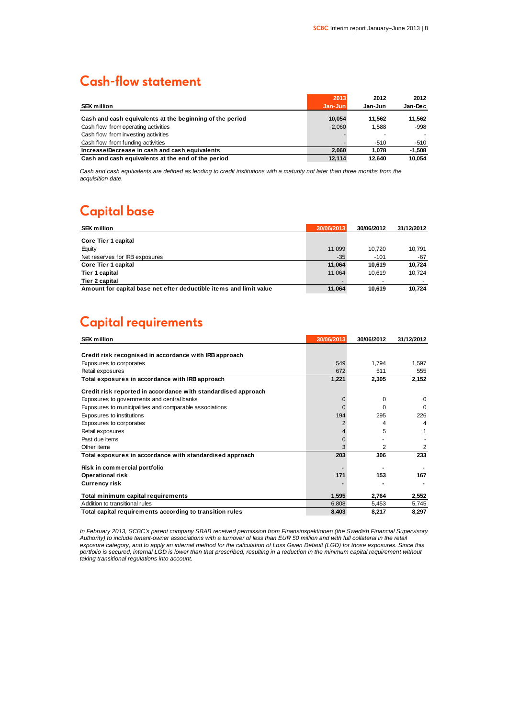### **Cash-flow statement**

|                                                          | 2013    | 2012                     | 2012     |
|----------------------------------------------------------|---------|--------------------------|----------|
| <b>SEK million</b>                                       | Jan-Jun | Jan-Jun                  | Jan-Dec  |
| Cash and cash equivalents at the beginning of the period | 10.054  | 11.562                   | 11.562   |
| Cash flow from operating activities                      | 2.060   | 1.588                    | -998     |
| Cash flow from investing activities                      |         | $\overline{\phantom{a}}$ |          |
| Cash flow from funding activities                        |         | $-510$                   | -510     |
| Increase/Decrease in cash and cash equivalents           | 2.060   | 1.078                    | $-1.508$ |
| Cash and cash equivalents at the end of the period       | 12.114  | 12.640                   | 10.054   |

*Cash and cash equivalents are defined as lending to credit institutions with a maturity not later than three months from the acquisition date.*

### **Capital base**

| <b>SEK million</b>                                                 | 30/06/2013 | 30/06/2012 | 31/12/2012 |
|--------------------------------------------------------------------|------------|------------|------------|
| Core Tier 1 capital                                                |            |            |            |
| Equity                                                             | 11.099     | 10.720     | 10.791     |
| Net reserves for IRB exposures                                     | $-35$      | $-101$     | -67        |
| Core Tier 1 capital                                                | 11.064     | 10.619     | 10.724     |
| Tier 1 capital                                                     | 11.064     | 10.619     | 10.724     |
| Tier 2 capital                                                     |            |            |            |
| Amount for capital base net efter deductible items and limit value | 11.064     | 10.619     | 10.724     |

### **Capital requirements**

| <b>SEK million</b>                                            | 30/06/2013 | 30/06/2012 | 31/12/2012   |
|---------------------------------------------------------------|------------|------------|--------------|
|                                                               |            |            |              |
| Credit risk recognised in accordance with IRB approach        |            |            |              |
| Exposures to corporates                                       | 549        | 1,794      | 1,597        |
| Retail exposures                                              | 672        | 511        | 555          |
| Total exposures in accordance with IRB approach               | 1,221      | 2,305      | 2,152        |
| Credit risk reported in accordance with standardised approach |            |            |              |
| Exposures to governments and central banks                    | 0          | 0          | $\Omega$     |
| Exposures to municipalities and comparable associations       |            | o          | <sup>0</sup> |
| Exposures to institutions                                     | 194        | 295        | 226          |
| Exposures to corporates                                       |            | 4          | 4            |
| Retail exposures                                              | 4          | 5          |              |
| Past due items                                                | 0          |            |              |
| Other items                                                   | 3          | 2          | 2            |
| Total exposures in accordance with standardised approach      | 203        | 306        | 233          |
| Risk in commercial portfolio                                  |            |            |              |
| <b>Operational risk</b>                                       | 171        | 153        | 167          |
| <b>Currency risk</b>                                          |            |            |              |
| Total minimum capital requirements                            | 1,595      | 2,764      | 2,552        |
| Addition to transitional rules                                | 6,808      | 5,453      | 5,745        |
| Total capital requirements according to transition rules      | 8,403      | 8,217      | 8,297        |

*In February 2013, SCBC's parent company SBAB received permission from Finansinspektionen (the Swedish Financial Supervisory Authority) to include tenant-owner associations with a turnover of less than EUR 50 million and with full collateral in the retail exposure category, and to apply an internal method for the calculation of Loss Given Default (LGD) for those exposures. Since this portfolio is secured, internal LGD is lower than that prescribed, resulting in a reduction in the minimum capital requirement without taking transitional regulations into account.*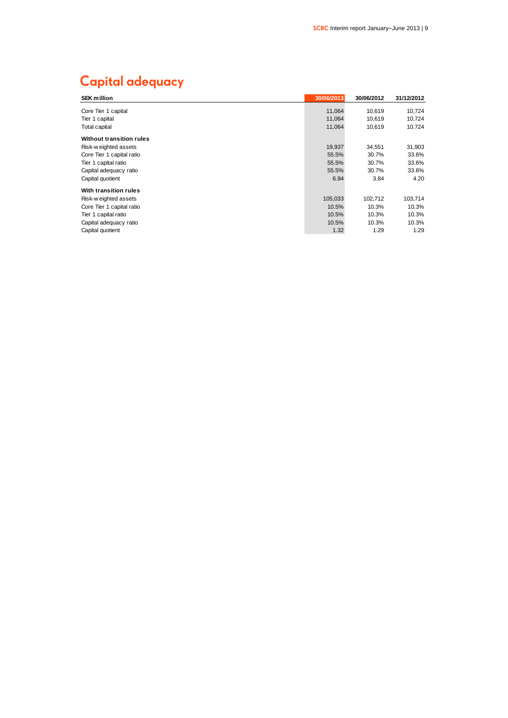### **Capital adequacy**

| <b>SEK million</b>        | 30/06/2013 | 30/06/2012 | 31/12/2012 |
|---------------------------|------------|------------|------------|
| Core Tier 1 capital       | 11,064     | 10,619     | 10,724     |
|                           |            |            |            |
| Tier 1 capital            | 11,064     | 10,619     | 10,724     |
| Total capital             | 11,064     | 10,619     | 10,724     |
| Without transition rules  |            |            |            |
| Risk-weighted assets      | 19,937     | 34.551     | 31,903     |
| Core Tier 1 capital ratio | 55.5%      | 30.7%      | 33.6%      |
| Tier 1 capital ratio      | 55.5%      | 30.7%      | 33.6%      |
| Capital adequacy ratio    | 55.5%      | 30.7%      | 33.6%      |
| Capital quotient          | 6.94       | 3.84       | 4.20       |
| With transition rules     |            |            |            |
| Risk-w eighted assets     | 105,033    | 102,712    | 103,714    |
| Core Tier 1 capital ratio | 10.5%      | 10.3%      | 10.3%      |
| Tier 1 capital ratio      | 10.5%      | 10.3%      | 10.3%      |
| Capital adequacy ratio    | 10.5%      | 10.3%      | 10.3%      |
| Capital quotient          | 1.32       | 1.29       | 1.29       |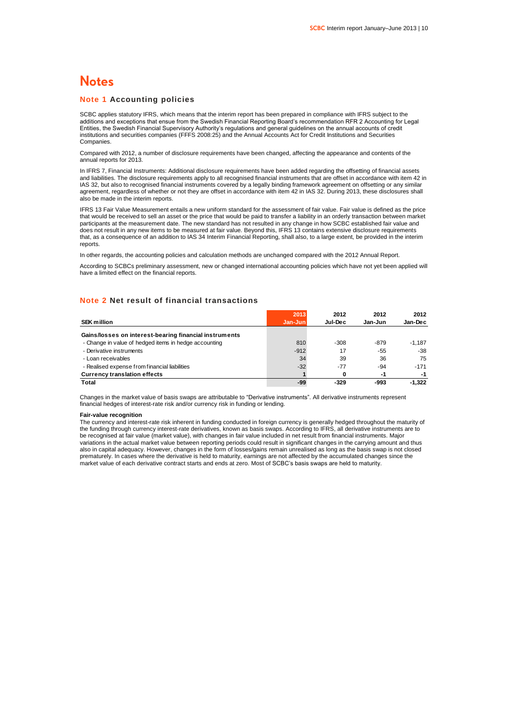### **Notes**

#### **Note 1 Accounting policies**

SCBC applies statutory IFRS, which means that the interim report has been prepared in compliance with IFRS subject to the additions and exceptions that ensue from the Swedish Financial Reporting Board's recommendation RFR 2 Accounting for Legal Entities, the Swedish Financial Supervisory Authority's regulations and general guidelines on the annual accounts of credit institutions and securities companies (FFFS 2008:25) and the Annual Accounts Act for Credit Institutions and Securities Companies.

Compared with 2012, a number of disclosure requirements have been changed, affecting the appearance and contents of the annual reports for 2013.

In IFRS 7, Financial Instruments: Additional disclosure requirements have been added regarding the offsetting of financial assets and liabilities. The disclosure requirements apply to all recognised financial instruments that are offset in accordance with item 42 in IAS 32, but also to recognised financial instruments covered by a legally binding framework agreement on offsetting or any similar agreement, regardless of whether or not they are offset in accordance with item 42 in IAS 32. During 2013, these disclosures shall also be made in the interim reports.

IFRS 13 Fair Value Measurement entails a new uniform standard for the assessment of fair value. Fair value is defined as the price that would be received to sell an asset or the price that would be paid to transfer a liability in an orderly transaction between market participants at the measurement date. The new standard has not resulted in any change in how SCBC established fair value and does not result in any new items to be measured at fair value. Beyond this, IFRS 13 contains extensive disclosure requirements that, as a consequence of an addition to IAS 34 Interim Financial Reporting, shall also, to a large extent, be provided in the interim reports.

In other regards, the accounting policies and calculation methods are unchanged compared with the 2012 Annual Report.

According to SCBCs preliminary assessment, new or changed international accounting policies which have not yet been applied will have a limited effect on the financial reports.

### **Note 2 Net result of financial transactions**

|                                                        | 2013    | 2012    | 2012    | 2012     |
|--------------------------------------------------------|---------|---------|---------|----------|
| <b>SEK million</b>                                     | Jan-Jun | Jul-Dec | Jan-Jun | Jan-Dec  |
| Gains/losses on interest-bearing financial instruments |         |         |         |          |
| - Change in value of hedged items in hedge accounting  | 810     | $-308$  | $-879$  | $-1.187$ |
| - Derivative instruments                               | $-912$  | 17      | -55     | $-38$    |
| - Loan receivables                                     | 34      | 39      | 36      | 75       |
| - Realised expense from financial liabilities          | $-32$   | $-77$   | $-94$   | $-171$   |
| <b>Currency translation effects</b>                    |         | 0       | -1      | -1       |
| <b>Total</b>                                           | -99     | -329    | -993    | $-1.322$ |

Changes in the market value of basis swaps are attributable to "Derivative instruments". All derivative instruments represent financial hedges of interest-rate risk and/or currency risk in funding or lending.

#### **Fair-value recognition**

The currency and interest-rate risk inherent in funding conducted in foreign currency is generally hedged throughout the maturity of the funding through currency interest-rate derivatives, known as basis swaps. According to IFRS, all derivative instruments are to be recognised at fair value (market value), with changes in fair value included in net result from financial instruments. Major variations in the actual market value between reporting periods could result in significant changes in the carrying amount and thus also in capital adequacy. However, changes in the form of losses/gains remain unrealised as long as the basis swap is not closed prematurely. In cases where the derivative is held to maturity, earnings are not affected by the accumulated changes since the market value of each derivative contract starts and ends at zero. Most of SCBC's basis swaps are held to maturity.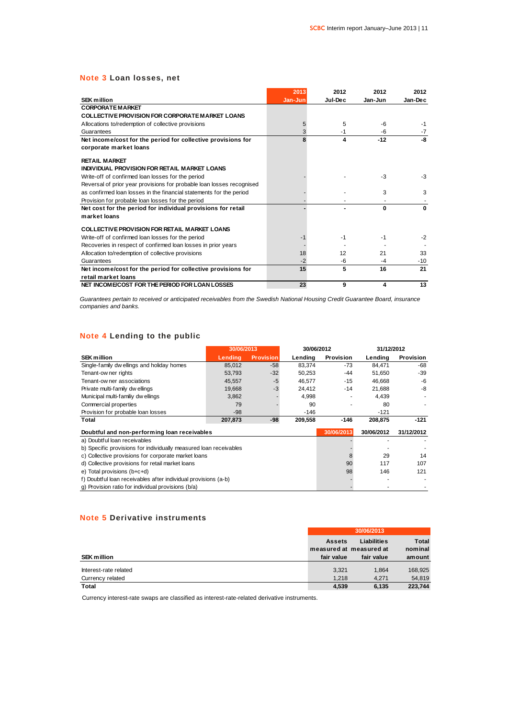### **Note 3 Loan losses, net**

|                                                                       | 2013    | 2012    | 2012    | 2012    |
|-----------------------------------------------------------------------|---------|---------|---------|---------|
| <b>SEK million</b>                                                    | Jan-Jun | Jul-Dec | Jan-Jun | Jan-Dec |
| <b>CORPORATE MARKET</b>                                               |         |         |         |         |
| <b>COLLECTIVE PROVISION FOR CORPORATE MARKET LOANS</b>                |         |         |         |         |
| Allocations to/redemption of collective provisions                    | 5       | 5       | -6      | -1      |
| Guarantees                                                            | 3       | -1      | -6      | $-7$    |
| Net income/cost for the period for collective provisions for          | 8       | 4       | $-12$   | -8      |
| corporate market loans                                                |         |         |         |         |
| <b>RETAIL MARKET</b>                                                  |         |         |         |         |
| INDIVIDUAL PROVISION FOR RETAIL MARKET LOANS                          |         |         |         |         |
| Write-off of confirmed loan losses for the period                     |         |         | $-3$    | $-3$    |
| Reversal of prior year provisions for probable loan losses recognised |         |         |         |         |
| as confirmed loan losses in the financial statements for the period   |         |         | 3       | 3       |
| Provision for probable loan losses for the period                     |         |         |         |         |
| Net cost for the period for individual provisions for retail          |         |         | 0       | 0       |
| market loans                                                          |         |         |         |         |
| <b>COLLECTIVE PROVISION FOR RETAIL MARKET LOANS</b>                   |         |         |         |         |
| Write-off of confirmed loan losses for the period                     | -1      | $-1$    | $-1$    | $-2$    |
| Recoveries in respect of confirmed loan losses in prior years         |         |         |         |         |
| Allocation to/redemption of collective provisions                     | 18      | 12      | 21      | 33      |
| Guarantees                                                            | $-2$    | -6      | $-4$    | $-10$   |
| Net income/cost for the period for collective provisions for          | 15      | 5       | 16      | 21      |
| retail market loans                                                   |         |         |         |         |
| NET INCOME/COST FOR THE PERIOD FOR LOAN LOSSES                        | 23      | 9       | 4       | 13      |

*Guarantees pertain to received or anticipated receivables from the Swedish National Housing Credit Guarantee Board, insurance companies and banks.*

### **Note 4 Lending to the public**

| Note 4 Lending to the public                                      |            |                  |            |            |            |                  |
|-------------------------------------------------------------------|------------|------------------|------------|------------|------------|------------------|
|                                                                   | 30/06/2013 |                  | 30/06/2012 |            | 31/12/2012 |                  |
| <b>SEK million</b>                                                | Lendina    | <b>Provision</b> | Lending    | Provision  | Lending    | <b>Provision</b> |
| Single-family dw ellings and holiday homes                        | 85,012     | $-58$            | 83,374     | -73        | 84,471     | -68              |
| Tenant-ow ner rights                                              | 53,793     | $-32$            | 50,253     | -44        | 51,650     | $-39$            |
| Tenant-ow ner associations                                        | 45,557     | $-5$             | 46,577     | $-15$      | 46,668     | $-6$             |
| Private multi-family dw ellings                                   | 19,668     | $-3$             | 24,412     | $-14$      | 21,688     | $-8$             |
| Municipal multi-familiy dw ellings                                | 3,862      |                  | 4,998      |            | 4,439      |                  |
| Commercial properties                                             | 79         |                  | 90         |            | 80         |                  |
| Provision for probable loan losses                                | $-98$      |                  | $-146$     |            | $-121$     |                  |
| Total                                                             | 207,873    | -98              | 209,558    | $-146$     | 208.875    | $-121$           |
| Doubtful and non-performing loan receivables                      |            |                  |            | 30/06/2013 | 30/06/2012 | 31/12/2012       |
| a) Doubtful loan receivables                                      |            |                  |            |            |            |                  |
| b) Specific provisions for individually measured loan receivables |            |                  |            |            |            |                  |
| c) Collective provisions for corporate market loans               |            |                  |            | 8          | 29         | 14               |
| d) Collective provisions for retail market loans                  |            |                  |            | 90         | 117        | 107              |
| e) Total provisions (b+c+d)                                       |            |                  |            | 98         | 146        | 121              |
| f) Doubtful loan receivables after individual provisions (a-b)    |            |                  |            |            |            |                  |
| g) Provision ratio for individual provisions (b/a)                |            |                  |            |            |            |                  |

### **Note 5 Derivative instruments**

|                                           | <b>Assets</b><br>measured at measured at | Liabilities    | <b>Total</b><br>nominal |
|-------------------------------------------|------------------------------------------|----------------|-------------------------|
| <b>SEK million</b>                        | fair value                               | fair value     | amount                  |
| Interest-rate related<br>Currency related | 3.321<br>1.218                           | 1.864<br>4.271 | 168,925<br>54,819       |
| <b>Total</b>                              | 4,539                                    | 6.135          | 223.744                 |

Currency interest-rate swaps are classified as interest-rate-related derivative instruments.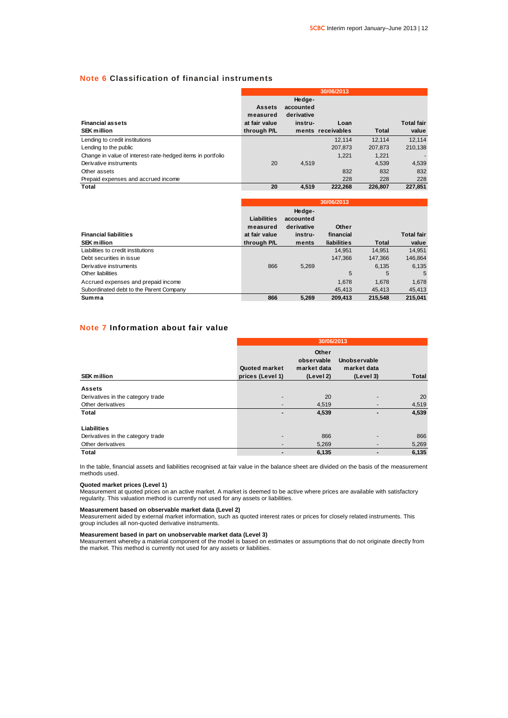### **Note 6 Classification of financial instruments**

|                                                            |               |            | 30/06/2013        |         |                   |
|------------------------------------------------------------|---------------|------------|-------------------|---------|-------------------|
|                                                            |               | Hedge-     |                   |         |                   |
|                                                            | <b>Assets</b> | accounted  |                   |         |                   |
|                                                            | measured      | derivative |                   |         |                   |
| <b>Financial assets</b>                                    | at fair value | instru-    | Loan              |         | <b>Total fair</b> |
| <b>SEK million</b>                                         | through P/L   |            | ments receivables | Total   | value             |
| Lending to credit institutions                             |               |            | 12.114            | 12.114  | 12.114            |
| Lending to the public                                      |               |            | 207,873           | 207.873 | 210.138           |
| Change in value of interest-rate-hedged items in portfolio |               |            | 1.221             | 1.221   |                   |
| Derivative instruments                                     | 20            | 4.519      |                   | 4.539   | 4,539             |
| Other assets                                               |               |            | 832               | 832     | 832               |
| Prepaid expenses and accrued income                        |               |            | 228               | 228     | 228               |
| Total                                                      | 20            | 4.519      | 222.268           | 226.807 | 227.851           |

|                                         | 30/06/2013    |                     |             |         |                   |
|-----------------------------------------|---------------|---------------------|-------------|---------|-------------------|
|                                         | Liabilities   | Hedge-<br>accounted |             |         |                   |
|                                         | measured      | derivative          | Other       |         |                   |
| <b>Financial liabilities</b>            | at fair value | instru-             | financial   |         | <b>Total fair</b> |
| <b>SEK million</b>                      | through P/L   | ments               | liabilities | Total   | value             |
| Liabilities to credit institutions      |               |                     | 14.951      | 14.951  | 14.951            |
| Debt securities in issue                |               |                     | 147.366     | 147.366 | 146,864           |
| Derivative instruments                  | 866           | 5.269               |             | 6.135   | 6,135             |
| Other liabilities                       |               |                     | 5           | 5       | 5                 |
| Accrued expenses and prepaid income     |               |                     | 1.678       | 1.678   | 1,678             |
| Subordinated debt to the Parent Company |               |                     | 45.413      | 45.413  | 45.413            |
| Summa                                   | 866           | 5.269               | 209.413     | 215.548 | 215.041           |

### **Note 7 Information about fair value**

| <b>SEK million</b>                | Quoted market<br>prices (Level 1) | Other<br>observable<br>market data<br>(Level 2) | Unobservable<br>market data<br>(Level 3) | <b>Total</b> |
|-----------------------------------|-----------------------------------|-------------------------------------------------|------------------------------------------|--------------|
| <b>Assets</b>                     |                                   |                                                 |                                          |              |
| Derivatives in the category trade |                                   | 20                                              |                                          | 20           |
| Other derivatives                 |                                   | 4,519                                           |                                          | 4,519        |
| Total                             |                                   | 4,539                                           |                                          | 4,539        |
| Liabilities                       |                                   |                                                 |                                          |              |
| Derivatives in the category trade |                                   | 866                                             |                                          | 866          |
| Other derivatives                 |                                   | 5,269                                           |                                          | 5,269        |
| <b>Total</b>                      |                                   | 6,135                                           |                                          | 6,135        |

In the table, financial assets and liabilities recognised at fair value in the balance sheet are divided on the basis of the measurement methods used.

#### **Quoted market prices (Level 1)**

Measurement at quoted prices on an active market. A market is deemed to be active where prices are available with satisfactory regularity. This valuation method is currently not used for any assets or liabilities.

#### **Measurement based on observable market data (Level 2)**

Measurement aided by external market information, such as quoted interest rates or prices for closely related instruments. This group includes all non-quoted derivative instruments.

#### **Measurement based in part on unobservable market data (Level 3)**

Measurement whereby a material component of the model is based on estimates or assumptions that do not originate directly from<br>the market. This method is currently not used for any assets or liabilities.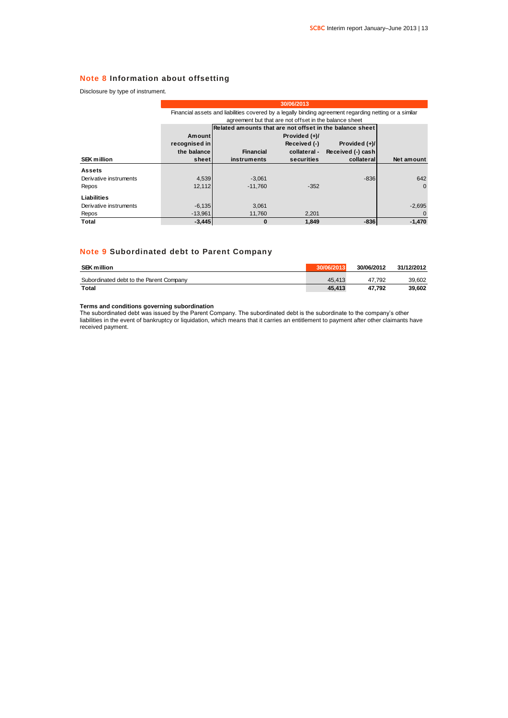### **Note 8 Information about offsetting**

Disclosure by type of instrument.

|                        | 30/06/2013                                                                                             |                                                          |                 |                   |            |  |
|------------------------|--------------------------------------------------------------------------------------------------------|----------------------------------------------------------|-----------------|-------------------|------------|--|
|                        | Financial assets and liabilities covered by a legally binding agreement regarding netting or a similar |                                                          |                 |                   |            |  |
|                        | agreement but that are not offset in the balance sheet                                                 |                                                          |                 |                   |            |  |
|                        |                                                                                                        | Related amounts that are not offset in the balance sheet |                 |                   |            |  |
|                        | <b>Amount</b>                                                                                          |                                                          | Provided $(+)/$ |                   |            |  |
|                        | recognised in                                                                                          |                                                          | Received (-)    | Provided (+)/     |            |  |
|                        | the balance                                                                                            | <b>Financial</b>                                         | collateral -    | Received (-) cash |            |  |
| <b>SEK million</b>     | sheetl                                                                                                 | instruments                                              | securities      | collateral        | Net amount |  |
| <b>Assets</b>          |                                                                                                        |                                                          |                 |                   |            |  |
| Derivative instruments | 4,539                                                                                                  | $-3,061$                                                 |                 | $-836$            | 642        |  |
| Repos                  | 12,112                                                                                                 | $-11.760$                                                | $-352$          |                   | $\Omega$   |  |
| Liabilities            |                                                                                                        |                                                          |                 |                   |            |  |
| Derivative instruments | $-6,135$                                                                                               | 3,061                                                    |                 |                   | $-2,695$   |  |
| Repos                  | $-13,961$                                                                                              | 11.760                                                   | 2.201           |                   |            |  |
| Total                  | $-3,445$                                                                                               | $\bf{0}$                                                 | 1.849           | $-836$            | $-1,470$   |  |

### **Note 9 Subordinated debt to Parent Company**

| <b>SEK million</b>                      | 30/06/2013 | 30/06/2012 | 31/12/2012 |
|-----------------------------------------|------------|------------|------------|
| Subordinated debt to the Parent Company | 45.413     | 47.792     | 39.602     |
| Total                                   | 45.413     | 47.792     | 39.602     |

**Terms and conditions governing subordination**

The subordinated debt was issued by the Parent Company. The subordinated debt is the subordinate to the company's other liabilities in the event of bankruptcy or liquidation, which means that it carries an entitlement to payment after other claimants have received payment.